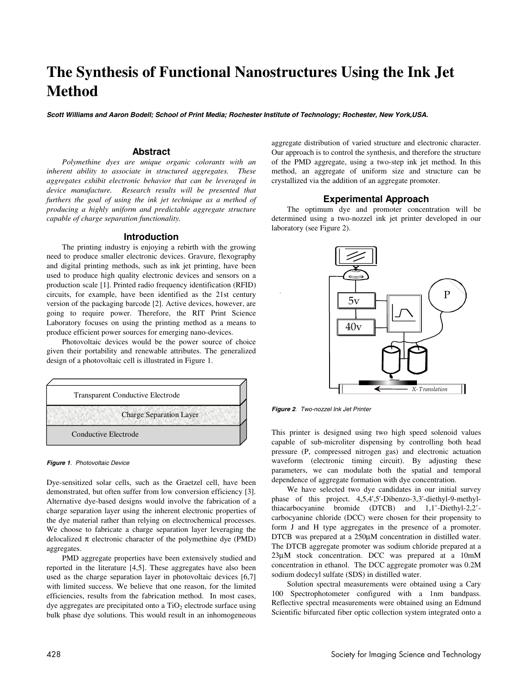# **The Synthesis of Functional Nanostructures Using the Ink Jet Method**

**Scott Williams and Aaron Bodell; School of Print Media; Rochester Institute of Technology; Rochester, New York,USA.**

# **Abstract**

*Polymethine dyes are unique organic colorants with an inherent ability to associate in structured aggregates. These aggregates exhibit electronic behavior that can be leveraged in device manufacture. Research results will be presented that furthers the goal of using the ink jet technique as a method of producing a highly uniform and predictable aggregate structure capable of charge separation functionality.* 

# **Introduction**

The printing industry is enjoying a rebirth with the growing need to produce smaller electronic devices. Gravure, flexography and digital printing methods, such as ink jet printing, have been used to produce high quality electronic devices and sensors on a production scale [1]. Printed radio frequency identification (RFID) circuits, for example, have been identified as the 21st century version of the packaging barcode [2]. Active devices, however, are going to require power. Therefore, the RIT Print Science Laboratory focuses on using the printing method as a means to produce efficient power sources for emerging nano-devices.

Photovoltaic devices would be the power source of choice given their portability and renewable attributes. The generalized design of a photovoltaic cell is illustrated in Figure 1.



#### **Figure 1**. Photovoltaic Device

Dye-sensitized solar cells, such as the Graetzel cell, have been demonstrated, but often suffer from low conversion efficiency [3]. Alternative dye-based designs would involve the fabrication of a charge separation layer using the inherent electronic properties of the dye material rather than relying on electrochemical processes. We choose to fabricate a charge separation layer leveraging the delocalized  $\pi$  electronic character of the polymethine dye (PMD) aggregates.

PMD aggregate properties have been extensively studied and reported in the literature [4,5]. These aggregates have also been used as the charge separation layer in photovoltaic devices [6,7] with limited success. We believe that one reason, for the limited efficiencies, results from the fabrication method. In most cases, dye aggregates are precipitated onto a  $TiO<sub>2</sub>$  electrode surface using bulk phase dye solutions. This would result in an inhomogeneous aggregate distribution of varied structure and electronic character. Our approach is to control the synthesis, and therefore the structure of the PMD aggregate, using a two-step ink jet method. In this method, an aggregate of uniform size and structure can be crystallized via the addition of an aggregate promoter.

# **Experimental Approach**

The optimum dye and promoter concentration will be determined using a two-nozzel ink jet printer developed in our laboratory (see Figure 2).



**Figure 2**. Two-nozzel Ink Jet Printer

This printer is designed using two high speed solenoid values capable of sub-microliter dispensing by controlling both head pressure (P, compressed nitrogen gas) and electronic actuation waveform (electronic timing circuit). By adjusting these parameters, we can modulate both the spatial and temporal dependence of aggregate formation with dye concentration.

 We have selected two dye candidates in our initial survey phase of this project. 4,5,4',5'-Dibenzo-3,3'-diethyl-9-methylthiacarbocyanine bromide (DTCB) and 1,1'-Diethyl-2,2' carbocyanine chloride (DCC) were chosen for their propensity to form J and H type aggregates in the presence of a promoter. DTCB was prepared at a 250µM concentration in distilled water. The DTCB aggregate promoter was sodium chloride prepared at a 23µΜ stock concentration. DCC was prepared at a 10mM concentration in ethanol. The DCC aggregate promoter was 0.2M sodium dodecyl sulfate (SDS) in distilled water.

 Solution spectral measurements were obtained using a Cary 100 Spectrophotometer configured with a 1nm bandpass. Reflective spectral measurements were obtained using an Edmund Scientific bifurcated fiber optic collection system integrated onto a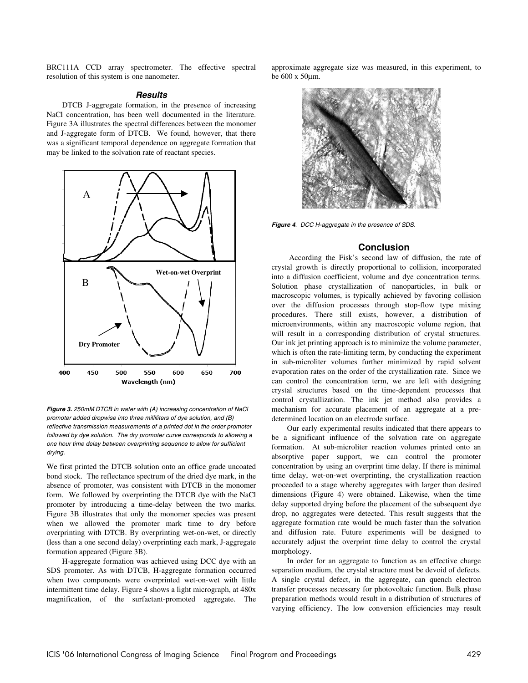BRC111A CCD array spectrometer. The effective spectral resolution of this system is one nanometer.

# **Results**

DTCB J-aggregate formation, in the presence of increasing NaCl concentration, has been well documented in the literature. Figure 3A illustrates the spectral differences between the monomer and J-aggregate form of DTCB. We found, however, that there was a significant temporal dependence on aggregate formation that may be linked to the solvation rate of reactant species.



**Figure 3.** 250mM DTCB in water with (A) increasing concentration of NaCl promoter added dropwise into three milliliters of dye solution, and (B) reflective transmission measurements of a printed dot in the order promoter followed by dye solution. The dry promoter curve corresponds to allowing a one hour time delay between overprinting sequence to allow for sufficient drying.

We first printed the DTCB solution onto an office grade uncoated bond stock. The reflectance spectrum of the dried dye mark, in the absence of promoter, was consistent with DTCB in the monomer form. We followed by overprinting the DTCB dye with the NaCl promoter by introducing a time-delay between the two marks. Figure 3B illustrates that only the monomer species was present when we allowed the promoter mark time to dry before overprinting with DTCB. By overprinting wet-on-wet, or directly (less than a one second delay) overprinting each mark, J-aggregate formation appeared (Figure 3B).

H-aggregate formation was achieved using DCC dye with an SDS promoter. As with DTCB, H-aggregate formation occurred when two components were overprinted wet-on-wet with little intermittent time delay. Figure 4 shows a light micrograph, at 480x magnification, of the surfactant-promoted aggregate. The approximate aggregate size was measured, in this experiment, to be 600 x 50µm.



**Figure 4**. DCC H-aggregate in the presence of SDS.

### **Conclusion**

 According the Fisk's second law of diffusion, the rate of crystal growth is directly proportional to collision, incorporated into a diffusion coefficient, volume and dye concentration terms. Solution phase crystallization of nanoparticles, in bulk or macroscopic volumes, is typically achieved by favoring collision over the diffusion processes through stop-flow type mixing procedures. There still exists, however, a distribution of microenvironments, within any macroscopic volume region, that will result in a corresponding distribution of crystal structures. Our ink jet printing approach is to minimize the volume parameter, which is often the rate-limiting term, by conducting the experiment in sub-microliter volumes further minimized by rapid solvent evaporation rates on the order of the crystallization rate. Since we can control the concentration term, we are left with designing crystal structures based on the time-dependent processes that control crystallization. The ink jet method also provides a mechanism for accurate placement of an aggregate at a predetermined location on an electrode surface.

Our early experimental results indicated that there appears to be a significant influence of the solvation rate on aggregate formation. At sub-microliter reaction volumes printed onto an absorptive paper support, we can control the promoter concentration by using an overprint time delay. If there is minimal time delay, wet-on-wet overprinting, the crystallization reaction proceeded to a stage whereby aggregates with larger than desired dimensions (Figure 4) were obtained. Likewise, when the time delay supported drying before the placement of the subsequent dye drop, no aggregates were detected. This result suggests that the aggregate formation rate would be much faster than the solvation and diffusion rate. Future experiments will be designed to accurately adjust the overprint time delay to control the crystal morphology.

In order for an aggregate to function as an effective charge separation medium, the crystal structure must be devoid of defects. A single crystal defect, in the aggregate, can quench electron transfer processes necessary for photovoltaic function. Bulk phase preparation methods would result in a distribution of structures of varying efficiency. The low conversion efficiencies may result